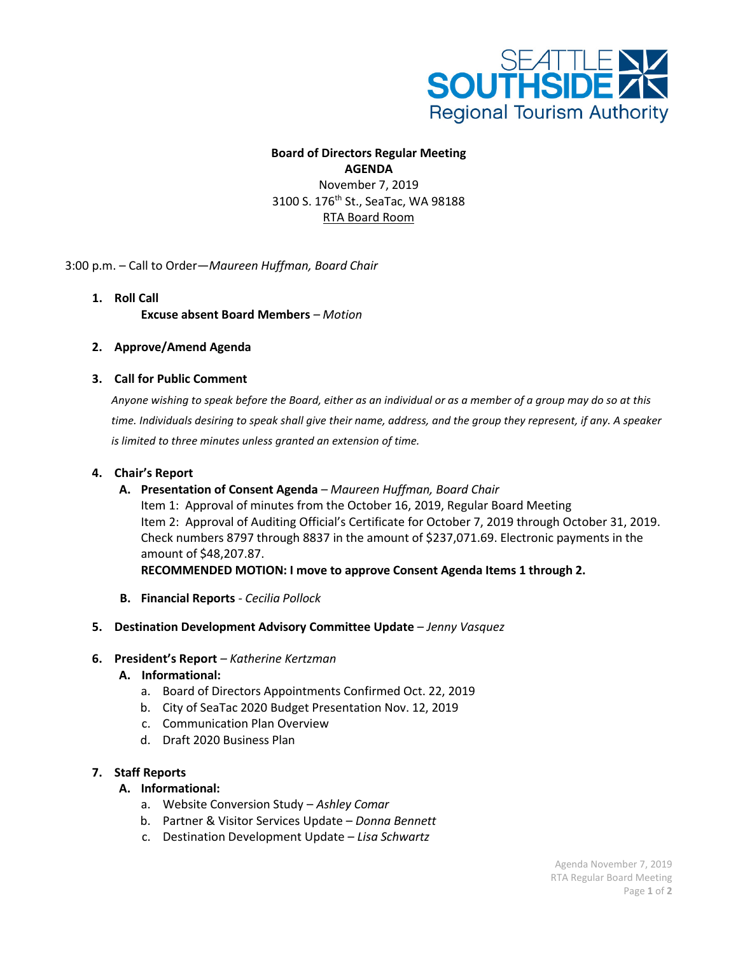

# **Board of Directors Regular Meeting AGENDA**

November 7, 2019 3100 S. 176<sup>th</sup> St., SeaTac, WA 98188 RTA Board Room

3:00 p.m. – Call to Order—*Maureen Huffman, Board Chair*

- **1. Roll Call Excuse absent Board Members** *– Motion*
- **2. Approve/Amend Agenda**

## **3. Call for Public Comment**

*Anyone wishing to speak before the Board, either as an individual or as a member of a group may do so at this time. Individuals desiring to speak shall give their name, address, and the group they represent, if any. A speaker is limited to three minutes unless granted an extension of time.*

### **4. Chair's Report**

**A. Presentation of Consent Agenda** *– Maureen Huffman, Board Chair* Item 1: Approval of minutes from the October 16, 2019, Regular Board Meeting Item 2: Approval of Auditing Official's Certificate for October 7, 2019 through October 31, 2019. Check numbers 8797 through 8837 in the amount of \$237,071.69. Electronic payments in the amount of \$48,207.87.

**RECOMMENDED MOTION: I move to approve Consent Agenda Items 1 through 2.**

**B. Financial Reports** *- Cecilia Pollock*

#### **5. Destination Development Advisory Committee Update** – *Jenny Vasquez*

#### **6. President's Report** *– Katherine Kertzman*

#### **A. Informational:**

- a. Board of Directors Appointments Confirmed Oct. 22, 2019
- b. City of SeaTac 2020 Budget Presentation Nov. 12, 2019
- c. Communication Plan Overview
- d. Draft 2020 Business Plan

#### **7. Staff Reports**

#### **A. Informational:**

- a. Website Conversion Study *Ashley Comar*
- b. Partner & Visitor Services Update *Donna Bennett*
- c. Destination Development Update *Lisa Schwartz*